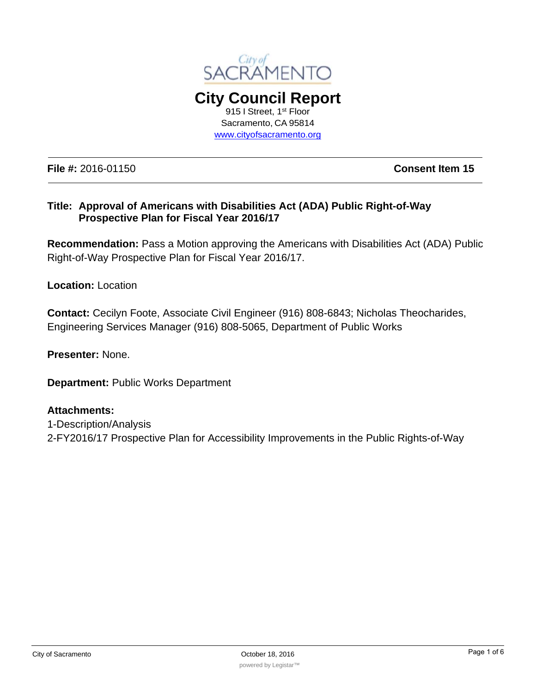

**City Council Report**  915 I Street, 1<sup>st</sup> Floor Sacramento, CA 95814 www.cityofsacramento.org

**File #:** 2016-01150 **Consent Item 15**

#### **Title: Approval of Americans with Disabilities Act (ADA) Public Right-of-Way Prospective Plan for Fiscal Year 2016/17**

**Recommendation:** Pass a Motion approving the Americans with Disabilities Act (ADA) Public Right-of-Way Prospective Plan for Fiscal Year 2016/17.

**Location:** Location

**Contact:** Cecilyn Foote, Associate Civil Engineer (916) 808-6843; Nicholas Theocharides, Engineering Services Manager (916) 808-5065, Department of Public Works

**Presenter:** None.

**Department:** Public Works Department

#### **Attachments:**

1-Description/Analysis 2-FY2016/17 Prospective Plan for Accessibility Improvements in the Public Rights-of-Way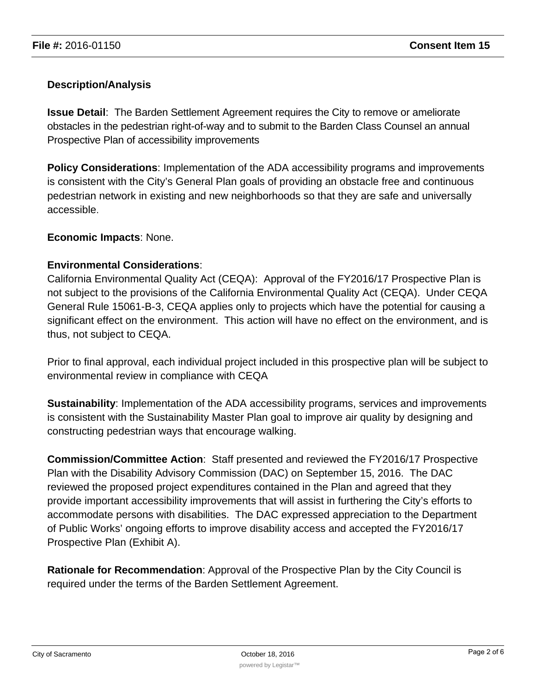### **Description/Analysis**

**Issue Detail**: The Barden Settlement Agreement requires the City to remove or ameliorate obstacles in the pedestrian right-of-way and to submit to the Barden Class Counsel an annual Prospective Plan of accessibility improvements

**Policy Considerations**: Implementation of the ADA accessibility programs and improvements is consistent with the City's General Plan goals of providing an obstacle free and continuous pedestrian network in existing and new neighborhoods so that they are safe and universally accessible.

#### **Economic Impacts**: None.

#### **Environmental Considerations**:

California Environmental Quality Act (CEQA): Approval of the FY2016/17 Prospective Plan is not subject to the provisions of the California Environmental Quality Act (CEQA). Under CEQA General Rule 15061-B-3, CEQA applies only to projects which have the potential for causing a significant effect on the environment. This action will have no effect on the environment, and is thus, not subject to CEQA.

Prior to final approval, each individual project included in this prospective plan will be subject to environmental review in compliance with CEQA

**Sustainability**: Implementation of the ADA accessibility programs, services and improvements is consistent with the Sustainability Master Plan goal to improve air quality by designing and constructing pedestrian ways that encourage walking.

**Commission/Committee Action**: Staff presented and reviewed the FY2016/17 Prospective Plan with the Disability Advisory Commission (DAC) on September 15, 2016. The DAC reviewed the proposed project expenditures contained in the Plan and agreed that they provide important accessibility improvements that will assist in furthering the City's efforts to accommodate persons with disabilities. The DAC expressed appreciation to the Department of Public Works' ongoing efforts to improve disability access and accepted the FY2016/17 Prospective Plan (Exhibit A).

**Rationale for Recommendation**: Approval of the Prospective Plan by the City Council is required under the terms of the Barden Settlement Agreement.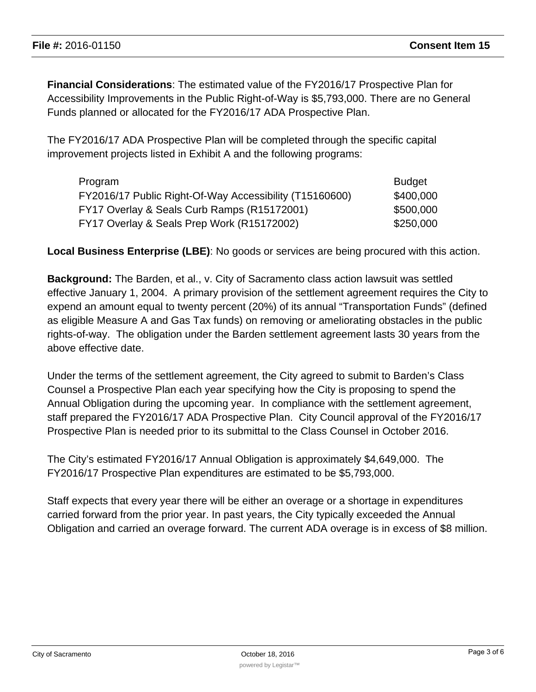**Financial Considerations**: The estimated value of the FY2016/17 Prospective Plan for Accessibility Improvements in the Public Right-of-Way is \$5,793,000. There are no General Funds planned or allocated for the FY2016/17 ADA Prospective Plan.

The FY2016/17 ADA Prospective Plan will be completed through the specific capital improvement projects listed in Exhibit A and the following programs:

| Program                                                 | <b>Budget</b> |
|---------------------------------------------------------|---------------|
| FY2016/17 Public Right-Of-Way Accessibility (T15160600) | \$400,000     |
| FY17 Overlay & Seals Curb Ramps (R15172001)             | \$500,000     |
| FY17 Overlay & Seals Prep Work (R15172002)              | \$250,000     |

**Local Business Enterprise (LBE)**: No goods or services are being procured with this action.

**Background:** The Barden, et al., v. City of Sacramento class action lawsuit was settled effective January 1, 2004. A primary provision of the settlement agreement requires the City to expend an amount equal to twenty percent (20%) of its annual "Transportation Funds" (defined as eligible Measure A and Gas Tax funds) on removing or ameliorating obstacles in the public rights-of-way. The obligation under the Barden settlement agreement lasts 30 years from the above effective date.

Under the terms of the settlement agreement, the City agreed to submit to Barden's Class Counsel a Prospective Plan each year specifying how the City is proposing to spend the Annual Obligation during the upcoming year. In compliance with the settlement agreement, staff prepared the FY2016/17 ADA Prospective Plan. City Council approval of the FY2016/17 Prospective Plan is needed prior to its submittal to the Class Counsel in October 2016.

The City's estimated FY2016/17 Annual Obligation is approximately \$4,649,000. The FY2016/17 Prospective Plan expenditures are estimated to be \$5,793,000.

Staff expects that every year there will be either an overage or a shortage in expenditures carried forward from the prior year. In past years, the City typically exceeded the Annual Obligation and carried an overage forward. The current ADA overage is in excess of \$8 million.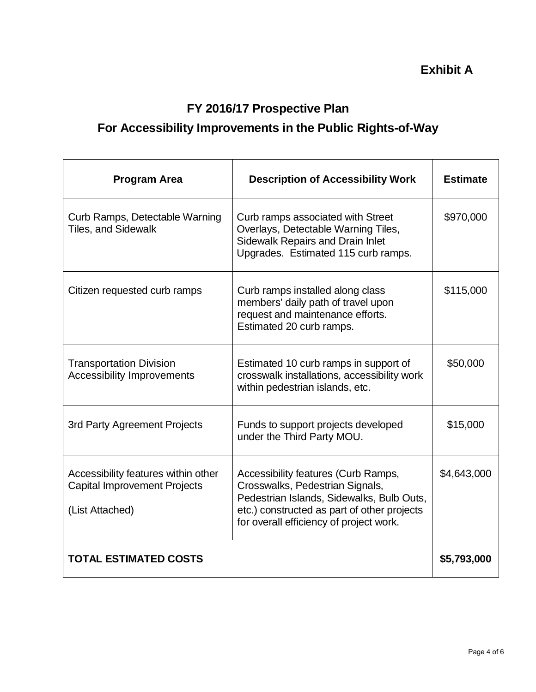### **FY 2016/17 Prospective Plan**

## **For Accessibility Improvements in the Public Rights-of-Way**

| <b>Program Area</b>                                                                           | <b>Description of Accessibility Work</b>                                                                                                                                                                      | <b>Estimate</b> |
|-----------------------------------------------------------------------------------------------|---------------------------------------------------------------------------------------------------------------------------------------------------------------------------------------------------------------|-----------------|
| Curb Ramps, Detectable Warning<br><b>Tiles, and Sidewalk</b>                                  | Curb ramps associated with Street<br>Overlays, Detectable Warning Tiles,<br>Sidewalk Repairs and Drain Inlet<br>Upgrades. Estimated 115 curb ramps.                                                           | \$970,000       |
| Citizen requested curb ramps                                                                  | Curb ramps installed along class<br>members' daily path of travel upon<br>request and maintenance efforts.<br>Estimated 20 curb ramps.                                                                        | \$115,000       |
| <b>Transportation Division</b><br><b>Accessibility Improvements</b>                           | Estimated 10 curb ramps in support of<br>crosswalk installations, accessibility work<br>within pedestrian islands, etc.                                                                                       | \$50,000        |
| 3rd Party Agreement Projects                                                                  | Funds to support projects developed<br>under the Third Party MOU.                                                                                                                                             | \$15,000        |
| Accessibility features within other<br><b>Capital Improvement Projects</b><br>(List Attached) | Accessibility features (Curb Ramps,<br>Crosswalks, Pedestrian Signals,<br>Pedestrian Islands, Sidewalks, Bulb Outs,<br>etc.) constructed as part of other projects<br>for overall efficiency of project work. | \$4,643,000     |
| <b>TOTAL ESTIMATED COSTS</b>                                                                  |                                                                                                                                                                                                               | \$5,793,000     |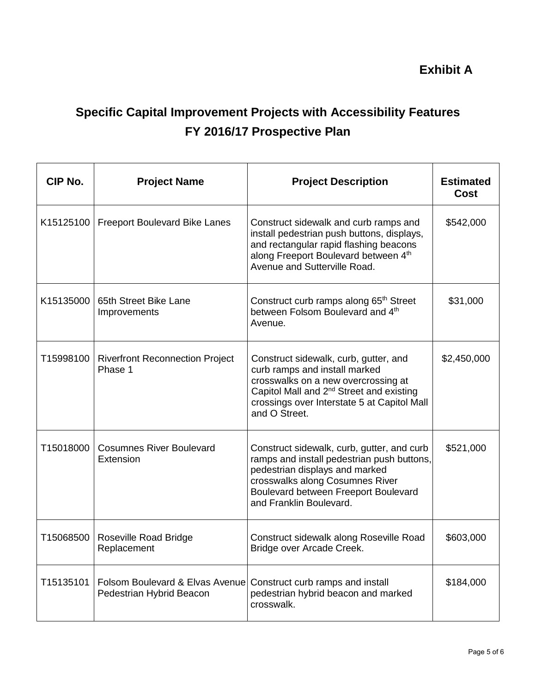**Exhibit A**

# **Specific Capital Improvement Projects with Accessibility Features FY 2016/17 Prospective Plan**

| CIP No.   | <b>Project Name</b>                                         | <b>Project Description</b>                                                                                                                                                                                                            | <b>Estimated</b><br>Cost |
|-----------|-------------------------------------------------------------|---------------------------------------------------------------------------------------------------------------------------------------------------------------------------------------------------------------------------------------|--------------------------|
| K15125100 | <b>Freeport Boulevard Bike Lanes</b>                        | Construct sidewalk and curb ramps and<br>install pedestrian push buttons, displays,<br>and rectangular rapid flashing beacons<br>along Freeport Boulevard between 4th<br>Avenue and Sutterville Road.                                 | \$542,000                |
| K15135000 | 65th Street Bike Lane<br>Improvements                       | Construct curb ramps along 65 <sup>th</sup> Street<br>between Folsom Boulevard and 4 <sup>th</sup><br>Avenue.                                                                                                                         | \$31,000                 |
| T15998100 | <b>Riverfront Reconnection Project</b><br>Phase 1           | Construct sidewalk, curb, gutter, and<br>curb ramps and install marked<br>crosswalks on a new overcrossing at<br>Capitol Mall and 2 <sup>nd</sup> Street and existing<br>crossings over Interstate 5 at Capitol Mall<br>and O Street. | \$2,450,000              |
| T15018000 | <b>Cosumnes River Boulevard</b><br>Extension                | Construct sidewalk, curb, gutter, and curb<br>ramps and install pedestrian push buttons,<br>pedestrian displays and marked<br>crosswalks along Cosumnes River<br>Boulevard between Freeport Boulevard<br>and Franklin Boulevard.      | \$521,000                |
| T15068500 | <b>Roseville Road Bridge</b><br>Replacement                 | Construct sidewalk along Roseville Road<br>Bridge over Arcade Creek.                                                                                                                                                                  | \$603,000                |
| T15135101 | Folsom Boulevard & Elvas Avenue<br>Pedestrian Hybrid Beacon | Construct curb ramps and install<br>pedestrian hybrid beacon and marked<br>crosswalk.                                                                                                                                                 | \$184,000                |